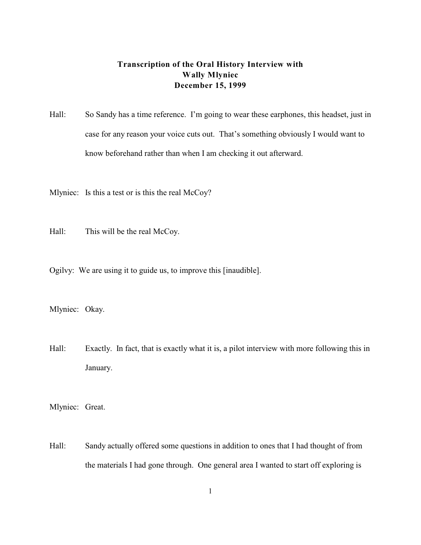## **Transcription of the Oral History Interview with Wally Mlyniec December 15, 1999**

- Hall: So Sandy has a time reference. I'm going to wear these earphones, this headset, just in case for any reason your voice cuts out. That's something obviously I would want to know beforehand rather than when I am checking it out afterward.
- Mlyniec: Is this a test or is this the real McCoy?
- Hall: This will be the real McCoy.
- Ogilvy: We are using it to guide us, to improve this [inaudible].
- Mlyniec: Okay.
- Hall: Exactly. In fact, that is exactly what it is, a pilot interview with more following this in January.
- Mlyniec: Great.
- Hall: Sandy actually offered some questions in addition to ones that I had thought of from the materials I had gone through. One general area I wanted to start off exploring is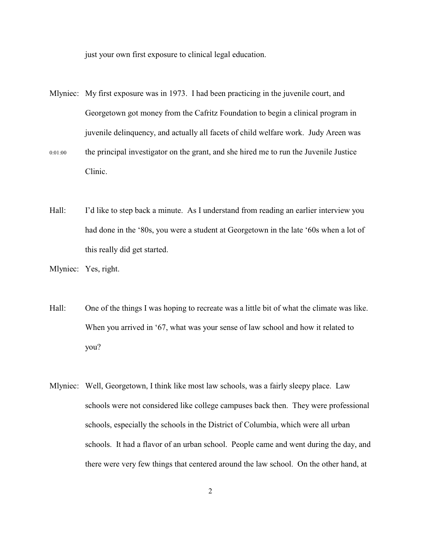just your own first exposure to clinical legal education.

- Mlyniec: My first exposure was in 1973. I had been practicing in the juvenile court, and Georgetown got money from the Cafritz Foundation to begin a clinical program in juvenile delinquency, and actually all facets of child welfare work. Judy Areen was 0:01:00 the principal investigator on the grant, and she hired me to run the Juvenile Justice Clinic.
- Hall: I'd like to step back a minute. As I understand from reading an earlier interview you had done in the '80s, you were a student at Georgetown in the late '60s when a lot of this really did get started.

- Hall: One of the things I was hoping to recreate was a little bit of what the climate was like. When you arrived in '67, what was your sense of law school and how it related to you?
- Mlyniec: Well, Georgetown, I think like most law schools, was a fairly sleepy place. Law schools were not considered like college campuses back then. They were professional schools, especially the schools in the District of Columbia, which were all urban schools. It had a flavor of an urban school. People came and went during the day, and there were very few things that centered around the law school. On the other hand, at

Mlyniec: Yes, right.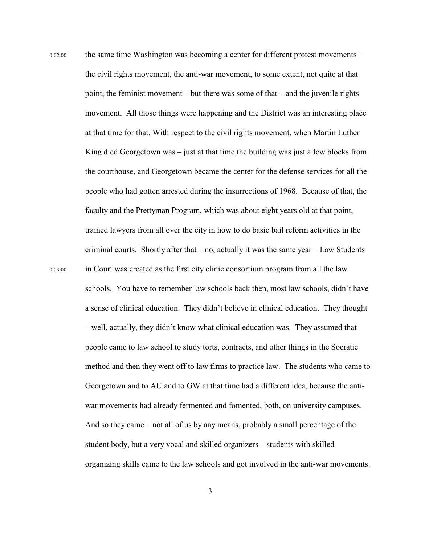0:02:00 the same time Washington was becoming a center for different protest movements – the civil rights movement, the anti-war movement, to some extent, not quite at that point, the feminist movement – but there was some of that – and the juvenile rights movement. All those things were happening and the District was an interesting place at that time for that. With respect to the civil rights movement, when Martin Luther King died Georgetown was  $-$  just at that time the building was just a few blocks from the courthouse, and Georgetown became the center for the defense services for all the people who had gotten arrested during the insurrections of 1968. Because of that, the faculty and the Prettyman Program, which was about eight years old at that point, trained lawyers from all over the city in how to do basic bail reform activities in the criminal courts. Shortly after that  $-$  no, actually it was the same year  $-$  Law Students 0:03:00 in Court was created as the first city clinic consortium program from all the law schools. You have to remember law schools back then, most law schools, didn't have a sense of clinical education. They didn't believe in clinical education. They thought – well, actually, they didn't know what clinical education was. They assumed that people came to law school to study torts, contracts, and other things in the Socratic method and then they went off to law firms to practice law. The students who came to Georgetown and to AU and to GW at that time had a different idea, because the antiwar movements had already fermented and fomented, both, on university campuses. And so they came – not all of us by any means, probably a small percentage of the student body, but a very vocal and skilled organizers – students with skilled organizing skills came to the law schools and got involved in the anti-war movements.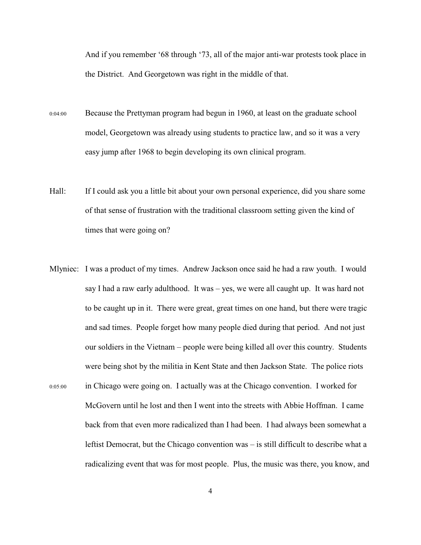And if you remember '68 through '73, all of the major anti-war protests took place in the District. And Georgetown was right in the middle of that.

- 0:04:00 Because the Prettyman program had begun in 1960, at least on the graduate school model, Georgetown was already using students to practice law, and so it was a very easy jump after 1968 to begin developing its own clinical program.
- Hall: If I could ask you a little bit about your own personal experience, did you share some of that sense of frustration with the traditional classroom setting given the kind of times that were going on?
- Mlyniec: I was a product of my times. Andrew Jackson once said he had a raw youth. I would say I had a raw early adulthood. It was – yes, we were all caught up. It was hard not to be caught up in it. There were great, great times on one hand, but there were tragic and sad times. People forget how many people died during that period. And not just our soldiers in the Vietnam – people were being killed all over this country. Students were being shot by the militia in Kent State and then Jackson State. The police riots 0:05:00 in Chicago were going on. I actually was at the Chicago convention. I worked for McGovern until he lost and then I went into the streets with Abbie Hoffman. I came back from that even more radicalized than I had been. I had always been somewhat a leftist Democrat, but the Chicago convention was – is still difficult to describe what a radicalizing event that was for most people. Plus, the music was there, you know, and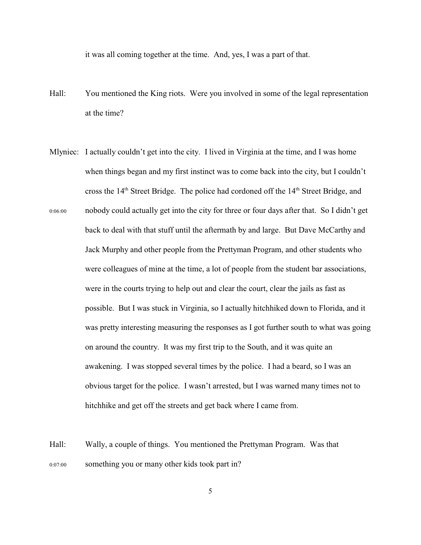it was all coming together at the time. And, yes, I was a part of that.

- Hall: You mentioned the King riots. Were you involved in some of the legal representation at the time?
- Mlyniec: I actually couldn't get into the city. I lived in Virginia at the time, and I was home when things began and my first instinct was to come back into the city, but I couldn't cross the  $14<sup>th</sup>$  Street Bridge. The police had cordoned off the  $14<sup>th</sup>$  Street Bridge, and 0:06:00 nobody could actually get into the city for three or four days after that. So I didn't get back to deal with that stuff until the aftermath by and large. But Dave McCarthy and Jack Murphy and other people from the Prettyman Program, and other students who were colleagues of mine at the time, a lot of people from the student bar associations, were in the courts trying to help out and clear the court, clear the jails as fast as possible. But I was stuck in Virginia, so I actually hitchhiked down to Florida, and it was pretty interesting measuring the responses as I got further south to what was going on around the country. It was my first trip to the South, and it was quite an awakening. I was stopped several times by the police. I had a beard, so I was an obvious target for the police. I wasn't arrested, but I was warned many times not to hitchhike and get off the streets and get back where I came from.
- Hall: Wally, a couple of things. You mentioned the Prettyman Program. Was that 0:07:00 something you or many other kids took part in?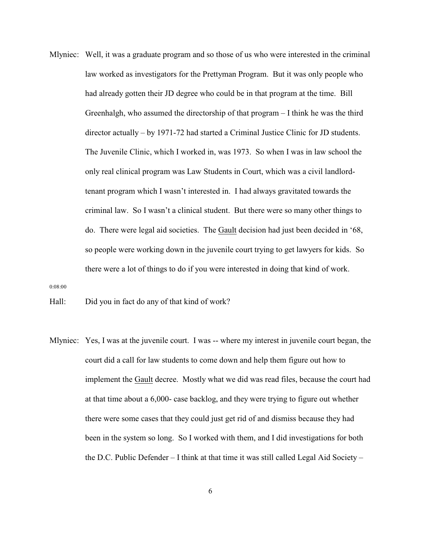Mlyniec: Well, it was a graduate program and so those of us who were interested in the criminal law worked as investigators for the Prettyman Program. But it was only people who had already gotten their JD degree who could be in that program at the time. Bill Greenhalgh, who assumed the directorship of that program – I think he was the third director actually – by 1971-72 had started a Criminal Justice Clinic for JD students. The Juvenile Clinic, which I worked in, was 1973. So when I was in law school the only real clinical program was Law Students in Court, which was a civil landlordtenant program which I wasn't interested in. I had always gravitated towards the criminal law. So I wasn't a clinical student. But there were so many other things to do. There were legal aid societies. The Gault decision had just been decided in '68, so people were working down in the juvenile court trying to get lawyers for kids. So there were a lot of things to do if you were interested in doing that kind of work.

0:08:00

Hall: Did you in fact do any of that kind of work?

Mlyniec: Yes, I was at the juvenile court. I was -- where my interest in juvenile court began, the court did a call for law students to come down and help them figure out how to implement the Gault decree. Mostly what we did was read files, because the court had at that time about a 6,000- case backlog, and they were trying to figure out whether there were some cases that they could just get rid of and dismiss because they had been in the system so long. So I worked with them, and I did investigations for both the D.C. Public Defender – I think at that time it was still called Legal Aid Society –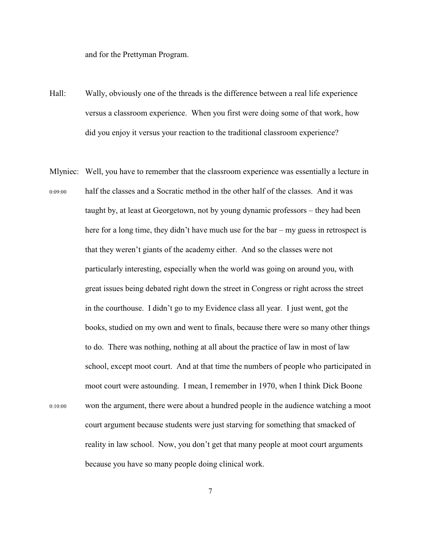and for the Prettyman Program.

- Hall: Wally, obviously one of the threads is the difference between a real life experience versus a classroom experience. When you first were doing some of that work, how did you enjoy it versus your reaction to the traditional classroom experience?
- Mlyniec: Well, you have to remember that the classroom experience was essentially a lecture in 0:09:00 half the classes and a Socratic method in the other half of the classes. And it was taught by, at least at Georgetown, not by young dynamic professors – they had been here for a long time, they didn't have much use for the bar – my guess in retrospect is that they weren't giants of the academy either. And so the classes were not particularly interesting, especially when the world was going on around you, with great issues being debated right down the street in Congress or right across the street in the courthouse. I didn't go to my Evidence class all year. I just went, got the books, studied on my own and went to finals, because there were so many other things to do. There was nothing, nothing at all about the practice of law in most of law school, except moot court. And at that time the numbers of people who participated in moot court were astounding. I mean, I remember in 1970, when I think Dick Boone 0:10:00 won the argument, there were about a hundred people in the audience watching a moot court argument because students were just starving for something that smacked of reality in law school. Now, you don't get that many people at moot court arguments because you have so many people doing clinical work.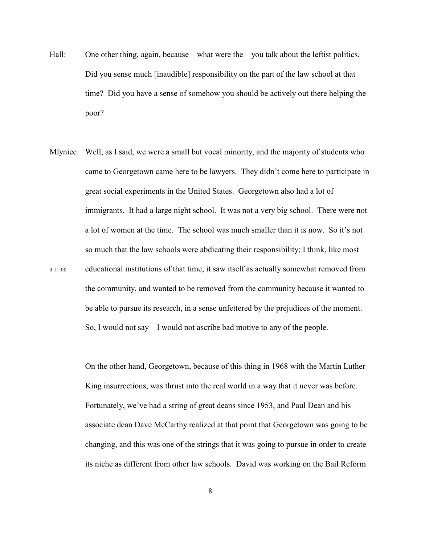- Hall: One other thing, again, because what were the you talk about the leftist politics. Did you sense much [inaudible] responsibility on the part of the law school at that time? Did you have a sense of somehow you should be actively out there helping the poor?
- Mlyniec: Well, as I said, we were a small but vocal minority, and the majority of students who came to Georgetown came here to be lawyers. They didn't come here to participate in great social experiments in the United States. Georgetown also had a lot of immigrants. It had a large night school. It was not a very big school. There were not a lot of women at the time. The school was much smaller than it is now. So it's not so much that the law schools were abdicating their responsibility; I think, like most 0:11:00 educational institutions of that time, it saw itself as actually somewhat removed from the community, and wanted to be removed from the community because it wanted to be able to pursue its research, in a sense unfettered by the prejudices of the moment. So, I would not say – I would not ascribe bad motive to any of the people.

On the other hand, Georgetown, because of this thing in 1968 with the Martin Luther King insurrections, was thrust into the real world in a way that it never was before. Fortunately, we've had a string of great deans since 1953, and Paul Dean and his associate dean Dave McCarthy realized at that point that Georgetown was going to be changing, and this was one of the strings that it was going to pursue in order to create its niche as different from other law schools. David was working on the Bail Reform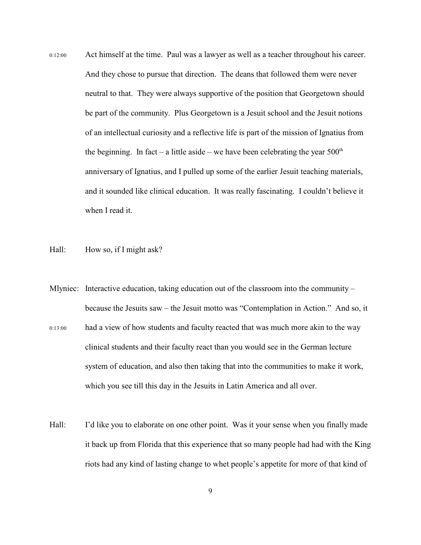- 0:12:00 Act himself at the time. Paul was a lawyer as well as a teacher throughout his career. And they chose to pursue that direction. The deans that followed them were never neutral to that. They were always supportive of the position that Georgetown should be part of the community. Plus Georgetown is a Jesuit school and the Jesuit notions of an intellectual curiosity and a reflective life is part of the mission of Ignatius from the beginning. In fact – a little aside – we have been celebrating the year  $500<sup>th</sup>$ anniversary of Ignatius, and I pulled up some of the earlier Jesuit teaching materials, and it sounded like clinical education. It was really fascinating. I couldn't believe it when I read it.
- Hall: How so, if I might ask?
- Mlyniec: Interactive education, taking education out of the classroom into the community because the Jesuits saw – the Jesuit motto was "Contemplation in Action." And so, it 0:13:00 had a view of how students and faculty reacted that was much more akin to the way clinical students and their faculty react than you would see in the German lecture system of education, and also then taking that into the communities to make it work, which you see till this day in the Jesuits in Latin America and all over.
- Hall: I'd like you to elaborate on one other point. Was it your sense when you finally made it back up from Florida that this experience that so many people had had with the King riots had any kind of lasting change to whet people's appetite for more of that kind of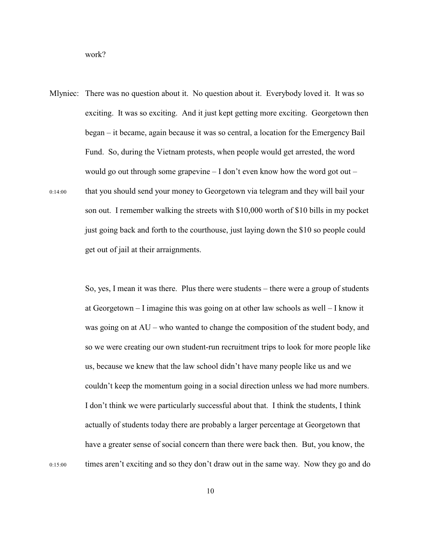work?

Mlyniec: There was no question about it. No question about it. Everybody loved it. It was so exciting. It was so exciting. And it just kept getting more exciting. Georgetown then began – it became, again because it was so central, a location for the Emergency Bail Fund. So, during the Vietnam protests, when people would get arrested, the word would go out through some grapevine  $-I$  don't even know how the word got out  $-$ 0:14:00 that you should send your money to Georgetown via telegram and they will bail your son out. I remember walking the streets with \$10,000 worth of \$10 bills in my pocket just going back and forth to the courthouse, just laying down the \$10 so people could get out of jail at their arraignments.

So, yes, I mean it was there. Plus there were students – there were a group of students at Georgetown – I imagine this was going on at other law schools as well – I know it was going on at AU – who wanted to change the composition of the student body, and so we were creating our own student-run recruitment trips to look for more people like us, because we knew that the law school didn't have many people like us and we couldn't keep the momentum going in a social direction unless we had more numbers. I don't think we were particularly successful about that. I think the students, I think actually of students today there are probably a larger percentage at Georgetown that have a greater sense of social concern than there were back then. But, you know, the 0:15:00 times aren't exciting and so they don't draw out in the same way. Now they go and do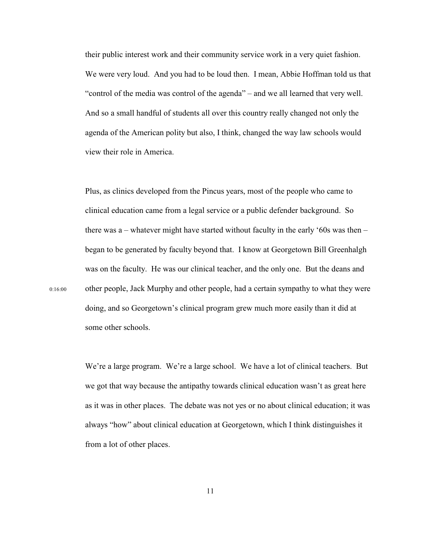their public interest work and their community service work in a very quiet fashion. We were very loud. And you had to be loud then. I mean, Abbie Hoffman told us that "control of the media was control of the agenda" – and we all learned that very well. And so a small handful of students all over this country really changed not only the agenda of the American polity but also, I think, changed the way law schools would view their role in America.

Plus, as clinics developed from the Pincus years, most of the people who came to clinical education came from a legal service or a public defender background. So there was a – whatever might have started without faculty in the early '60s was then – began to be generated by faculty beyond that. I know at Georgetown Bill Greenhalgh was on the faculty. He was our clinical teacher, and the only one. But the deans and 0:16:00 other people, Jack Murphy and other people, had a certain sympathy to what they were doing, and so Georgetown's clinical program grew much more easily than it did at some other schools.

> We're a large program. We're a large school. We have a lot of clinical teachers. But we got that way because the antipathy towards clinical education wasn't as great here as it was in other places. The debate was not yes or no about clinical education; it was always "how" about clinical education at Georgetown, which I think distinguishes it from a lot of other places.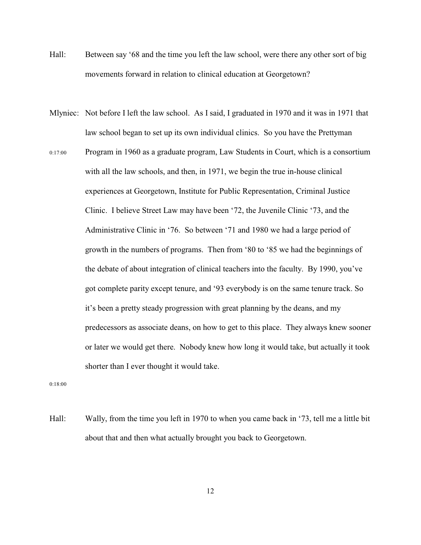- Hall: Between say '68 and the time you left the law school, were there any other sort of big movements forward in relation to clinical education at Georgetown?
- Mlyniec: Not before I left the law school. As I said, I graduated in 1970 and it was in 1971 that law school began to set up its own individual clinics. So you have the Prettyman
- 0:17:00 Program in 1960 as a graduate program, Law Students in Court, which is a consortium with all the law schools, and then, in 1971, we begin the true in-house clinical experiences at Georgetown, Institute for Public Representation, Criminal Justice Clinic. I believe Street Law may have been '72, the Juvenile Clinic '73, and the Administrative Clinic in '76. So between '71 and 1980 we had a large period of growth in the numbers of programs. Then from '80 to '85 we had the beginnings of the debate of about integration of clinical teachers into the faculty. By 1990, you've got complete parity except tenure, and '93 everybody is on the same tenure track. So it's been a pretty steady progression with great planning by the deans, and my predecessors as associate deans, on how to get to this place. They always knew sooner or later we would get there. Nobody knew how long it would take, but actually it took shorter than I ever thought it would take.

0:18:00

Hall: Wally, from the time you left in 1970 to when you came back in '73, tell me a little bit about that and then what actually brought you back to Georgetown.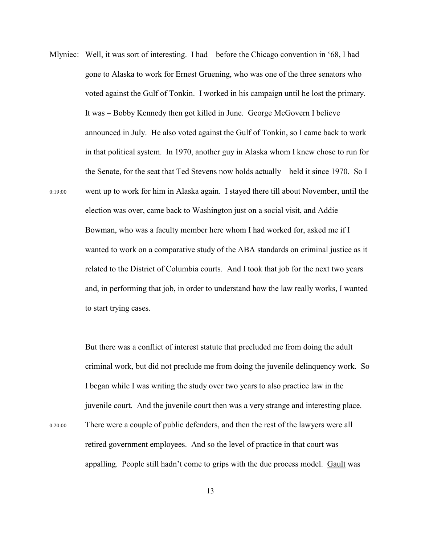Mlyniec: Well, it was sort of interesting. I had – before the Chicago convention in '68, I had gone to Alaska to work for Ernest Gruening, who was one of the three senators who voted against the Gulf of Tonkin. I worked in his campaign until he lost the primary. It was – Bobby Kennedy then got killed in June. George McGovern I believe announced in July. He also voted against the Gulf of Tonkin, so I came back to work in that political system. In 1970, another guy in Alaska whom I knew chose to run for the Senate, for the seat that Ted Stevens now holds actually – held it since 1970. So I 0:19:00 went up to work for him in Alaska again. I stayed there till about November, until the election was over, came back to Washington just on a social visit, and Addie Bowman, who was a faculty member here whom I had worked for, asked me if I wanted to work on a comparative study of the ABA standards on criminal justice as it related to the District of Columbia courts. And I took that job for the next two years and, in performing that job, in order to understand how the law really works, I wanted to start trying cases.

> But there was a conflict of interest statute that precluded me from doing the adult criminal work, but did not preclude me from doing the juvenile delinquency work. So I began while I was writing the study over two years to also practice law in the juvenile court. And the juvenile court then was a very strange and interesting place.

0:20:00 There were a couple of public defenders, and then the rest of the lawyers were all retired government employees. And so the level of practice in that court was appalling. People still hadn't come to grips with the due process model. Gault was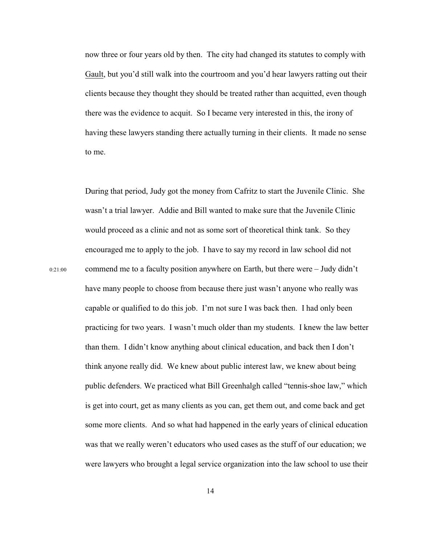now three or four years old by then. The city had changed its statutes to comply with Gault, but you'd still walk into the courtroom and you'd hear lawyers ratting out their clients because they thought they should be treated rather than acquitted, even though there was the evidence to acquit. So I became very interested in this, the irony of having these lawyers standing there actually turning in their clients. It made no sense to me.

During that period, Judy got the money from Cafritz to start the Juvenile Clinic. She wasn't a trial lawyer. Addie and Bill wanted to make sure that the Juvenile Clinic would proceed as a clinic and not as some sort of theoretical think tank. So they encouraged me to apply to the job. I have to say my record in law school did not 0:21:00 commend me to a faculty position anywhere on Earth, but there were – Judy didn't have many people to choose from because there just wasn't anyone who really was capable or qualified to do this job. I'm not sure I was back then. I had only been practicing for two years. I wasn't much older than my students. I knew the law better than them. I didn't know anything about clinical education, and back then I don't think anyone really did. We knew about public interest law, we knew about being public defenders. We practiced what Bill Greenhalgh called "tennis-shoe law," which is get into court, get as many clients as you can, get them out, and come back and get some more clients. And so what had happened in the early years of clinical education was that we really weren't educators who used cases as the stuff of our education; we were lawyers who brought a legal service organization into the law school to use their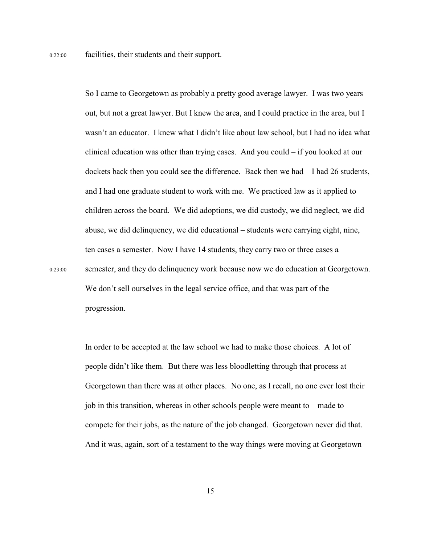So I came to Georgetown as probably a pretty good average lawyer. I was two years out, but not a great lawyer. But I knew the area, and I could practice in the area, but I wasn't an educator. I knew what I didn't like about law school, but I had no idea what clinical education was other than trying cases. And you could – if you looked at our dockets back then you could see the difference. Back then we had – I had 26 students, and I had one graduate student to work with me. We practiced law as it applied to children across the board. We did adoptions, we did custody, we did neglect, we did abuse, we did delinquency, we did educational – students were carrying eight, nine, ten cases a semester. Now I have 14 students, they carry two or three cases a 0:23:00 semester, and they do delinquency work because now we do education at Georgetown. We don't sell ourselves in the legal service office, and that was part of the progression.

> In order to be accepted at the law school we had to make those choices. A lot of people didn't like them. But there was less bloodletting through that process at Georgetown than there was at other places. No one, as I recall, no one ever lost their job in this transition, whereas in other schools people were meant to – made to compete for their jobs, as the nature of the job changed. Georgetown never did that. And it was, again, sort of a testament to the way things were moving at Georgetown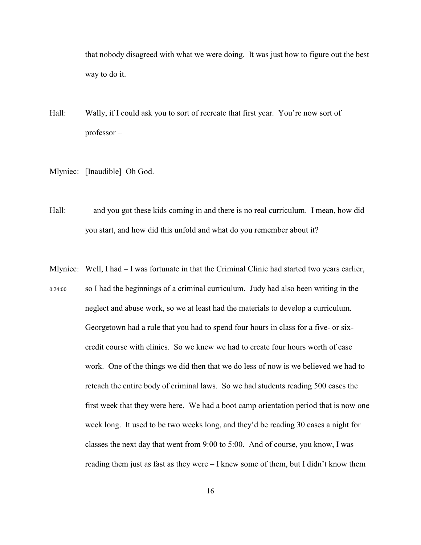that nobody disagreed with what we were doing. It was just how to figure out the best way to do it.

- Hall: Wally, if I could ask you to sort of recreate that first year. You're now sort of professor –
- Mlyniec: [Inaudible] Oh God.
- Hall: and you got these kids coming in and there is no real curriculum. I mean, how did you start, and how did this unfold and what do you remember about it?
- Mlyniec: Well, I had I was fortunate in that the Criminal Clinic had started two years earlier, 0:24:00 so I had the beginnings of a criminal curriculum. Judy had also been writing in the neglect and abuse work, so we at least had the materials to develop a curriculum. Georgetown had a rule that you had to spend four hours in class for a five- or sixcredit course with clinics. So we knew we had to create four hours worth of case work. One of the things we did then that we do less of now is we believed we had to reteach the entire body of criminal laws. So we had students reading 500 cases the first week that they were here. We had a boot camp orientation period that is now one week long. It used to be two weeks long, and they'd be reading 30 cases a night for classes the next day that went from 9:00 to 5:00. And of course, you know, I was reading them just as fast as they were – I knew some of them, but I didn't know them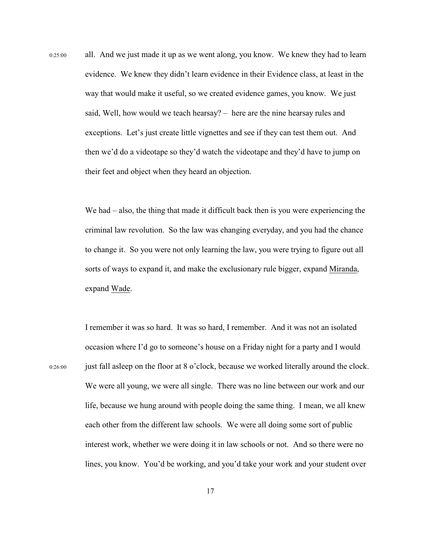0:25:00 all. And we just made it up as we went along, you know. We knew they had to learn evidence. We knew they didn't learn evidence in their Evidence class, at least in the way that would make it useful, so we created evidence games, you know. We just said, Well, how would we teach hearsay? – here are the nine hearsay rules and exceptions. Let's just create little vignettes and see if they can test them out. And then we'd do a videotape so they'd watch the videotape and they'd have to jump on their feet and object when they heard an objection.

> We had – also, the thing that made it difficult back then is you were experiencing the criminal law revolution. So the law was changing everyday, and you had the chance to change it. So you were not only learning the law, you were trying to figure out all sorts of ways to expand it, and make the exclusionary rule bigger, expand Miranda, expand Wade.

I remember it was so hard. It was so hard, I remember. And it was not an isolated occasion where I'd go to someone's house on a Friday night for a party and I would 0:26:00 just fall asleep on the floor at 8 o'clock, because we worked literally around the clock. We were all young, we were all single. There was no line between our work and our life, because we hung around with people doing the same thing. I mean, we all knew each other from the different law schools. We were all doing some sort of public interest work, whether we were doing it in law schools or not. And so there were no lines, you know. You'd be working, and you'd take your work and your student over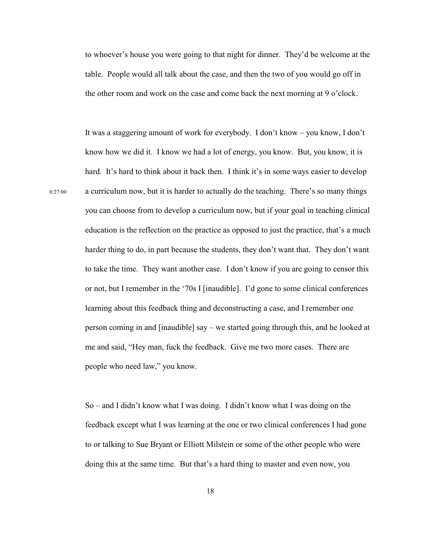to whoever's house you were going to that night for dinner. They'd be welcome at the table. People would all talk about the case, and then the two of you would go off in the other room and work on the case and come back the next morning at 9 o'clock.

It was a staggering amount of work for everybody. I don't know – you know, I don't know how we did it. I know we had a lot of energy, you know. But, you know, it is hard. It's hard to think about it back then. I think it's in some ways easier to develop 0:27:00 a curriculum now, but it is harder to actually do the teaching. There's so many things you can choose from to develop a curriculum now, but if your goal in teaching clinical education is the reflection on the practice as opposed to just the practice, that's a much harder thing to do, in part because the students, they don't want that. They don't want to take the time. They want another case. I don't know if you are going to censor this or not, but I remember in the '70s I [inaudible]. I'd gone to some clinical conferences learning about this feedback thing and deconstructing a case, and I remember one person coming in and [inaudible] say – we started going through this, and he looked at me and said, "Hey man, fuck the feedback. Give me two more cases. There are people who need law," you know.

> So – and I didn't know what I was doing. I didn't know what I was doing on the feedback except what I was learning at the one or two clinical conferences I had gone to or talking to Sue Bryant or Elliott Milstein or some of the other people who were doing this at the same time. But that's a hard thing to master and even now, you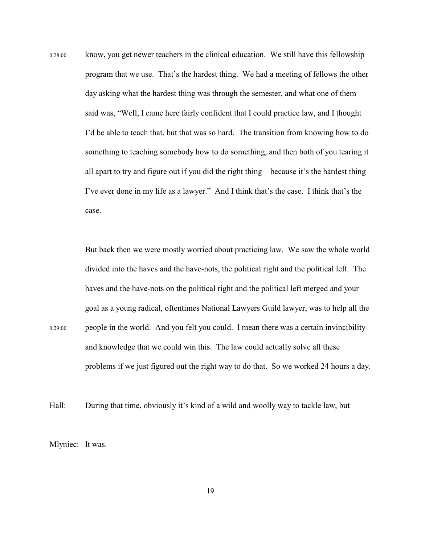0:28:00 know, you get newer teachers in the clinical education. We still have this fellowship program that we use. That's the hardest thing. We had a meeting of fellows the other day asking what the hardest thing was through the semester, and what one of them said was, "Well, I came here fairly confident that I could practice law, and I thought I'd be able to teach that, but that was so hard. The transition from knowing how to do something to teaching somebody how to do something, and then both of you tearing it all apart to try and figure out if you did the right thing – because it's the hardest thing I've ever done in my life as a lawyer." And I think that's the case. I think that's the case.

But back then we were mostly worried about practicing law. We saw the whole world divided into the haves and the have-nots, the political right and the political left. The haves and the have-nots on the political right and the political left merged and your goal as a young radical, oftentimes National Lawyers Guild lawyer, was to help all the 0:29:00 people in the world. And you felt you could. I mean there was a certain invincibility and knowledge that we could win this. The law could actually solve all these problems if we just figured out the right way to do that. So we worked 24 hours a day.

Hall: During that time, obviously it's kind of a wild and woolly way to tackle law, but –

Mlyniec: It was.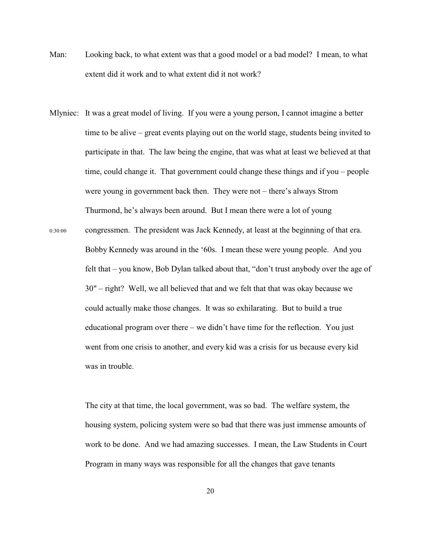- Man: Looking back, to what extent was that a good model or a bad model? I mean, to what extent did it work and to what extent did it not work?
- Mlyniec: It was a great model of living. If you were a young person, I cannot imagine a better time to be alive – great events playing out on the world stage, students being invited to participate in that. The law being the engine, that was what at least we believed at that time, could change it. That government could change these things and if you – people were young in government back then. They were not – there's always Strom Thurmond, he's always been around. But I mean there were a lot of young 0:30:00 congressmen. The president was Jack Kennedy, at least at the beginning of that era. Bobby Kennedy was around in the '60s. I mean these were young people. And you felt that – you know, Bob Dylan talked about that, "don't trust anybody over the age of 30" – right? Well, we all believed that and we felt that that was okay because we could actually make those changes. It was so exhilarating. But to build a true educational program over there – we didn't have time for the reflection. You just went from one crisis to another, and every kid was a crisis for us because every kid was in trouble.

The city at that time, the local government, was so bad. The welfare system, the housing system, policing system were so bad that there was just immense amounts of work to be done. And we had amazing successes. I mean, the Law Students in Court Program in many ways was responsible for all the changes that gave tenants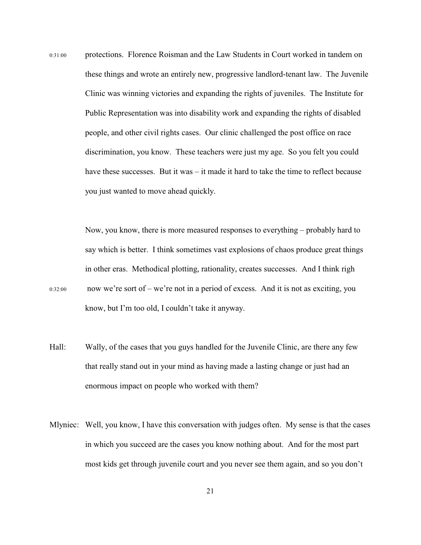0:31:00 protections. Florence Roisman and the Law Students in Court worked in tandem on these things and wrote an entirely new, progressive landlord-tenant law. The Juvenile Clinic was winning victories and expanding the rights of juveniles. The Institute for Public Representation was into disability work and expanding the rights of disabled people, and other civil rights cases. Our clinic challenged the post office on race discrimination, you know. These teachers were just my age. So you felt you could have these successes. But it was – it made it hard to take the time to reflect because you just wanted to move ahead quickly.

Now, you know, there is more measured responses to everything – probably hard to say which is better. I think sometimes vast explosions of chaos produce great things in other eras. Methodical plotting, rationality, creates successes. And I think righ  $0.32:00$  now we're sort of – we're not in a period of excess. And it is not as exciting, you know, but I'm too old, I couldn't take it anyway.

- Hall: Wally, of the cases that you guys handled for the Juvenile Clinic, are there any few that really stand out in your mind as having made a lasting change or just had an enormous impact on people who worked with them?
- Mlyniec: Well, you know, I have this conversation with judges often. My sense is that the cases in which you succeed are the cases you know nothing about. And for the most part most kids get through juvenile court and you never see them again, and so you don't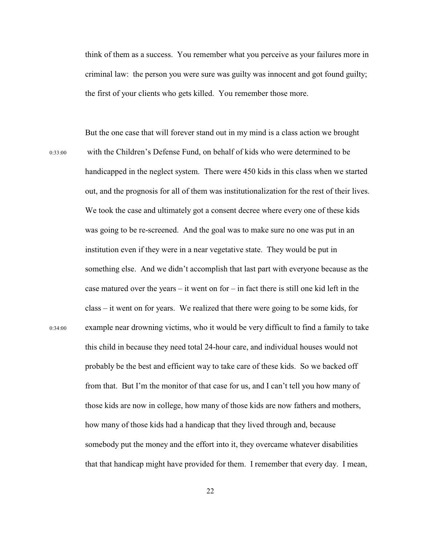think of them as a success. You remember what you perceive as your failures more in criminal law: the person you were sure was guilty was innocent and got found guilty; the first of your clients who gets killed. You remember those more.

But the one case that will forever stand out in my mind is a class action we brought 0:33:00 with the Children's Defense Fund, on behalf of kids who were determined to be handicapped in the neglect system. There were 450 kids in this class when we started out, and the prognosis for all of them was institutionalization for the rest of their lives. We took the case and ultimately got a consent decree where every one of these kids was going to be re-screened. And the goal was to make sure no one was put in an institution even if they were in a near vegetative state. They would be put in something else. And we didn't accomplish that last part with everyone because as the case matured over the years – it went on for – in fact there is still one kid left in the class – it went on for years. We realized that there were going to be some kids, for 0:34:00 example near drowning victims, who it would be very difficult to find a family to take this child in because they need total 24-hour care, and individual houses would not probably be the best and efficient way to take care of these kids. So we backed off from that. But I'm the monitor of that case for us, and I can't tell you how many of those kids are now in college, how many of those kids are now fathers and mothers, how many of those kids had a handicap that they lived through and, because somebody put the money and the effort into it, they overcame whatever disabilities that that handicap might have provided for them. I remember that every day. I mean,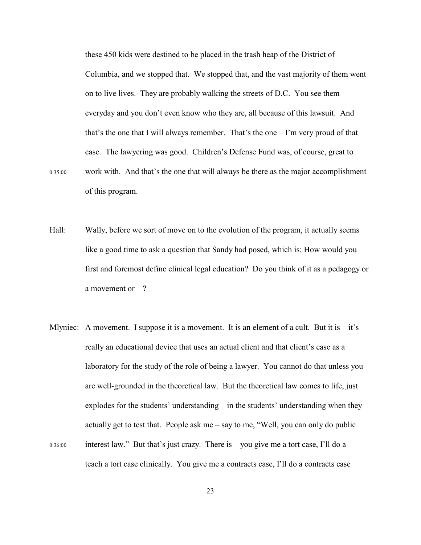these 450 kids were destined to be placed in the trash heap of the District of Columbia, and we stopped that. We stopped that, and the vast majority of them went on to live lives. They are probably walking the streets of D.C. You see them everyday and you don't even know who they are, all because of this lawsuit. And that's the one that I will always remember. That's the one – I'm very proud of that case. The lawyering was good. Children's Defense Fund was, of course, great to 0:35:00 work with. And that's the one that will always be there as the major accomplishment of this program.

- Hall: Wally, before we sort of move on to the evolution of the program, it actually seems like a good time to ask a question that Sandy had posed, which is: How would you first and foremost define clinical legal education? Do you think of it as a pedagogy or a movement or  $-$ ?
- Mlyniec: A movement. I suppose it is a movement. It is an element of a cult. But it is  $-$  it's really an educational device that uses an actual client and that client's case as a laboratory for the study of the role of being a lawyer. You cannot do that unless you are well-grounded in the theoretical law. But the theoretical law comes to life, just explodes for the students' understanding – in the students' understanding when they actually get to test that. People ask me – say to me, "Well, you can only do public  $_{0:36:00}$  interest law." But that's just crazy. There is – you give me a tort case, I'll do a – teach a tort case clinically. You give me a contracts case, I'll do a contracts case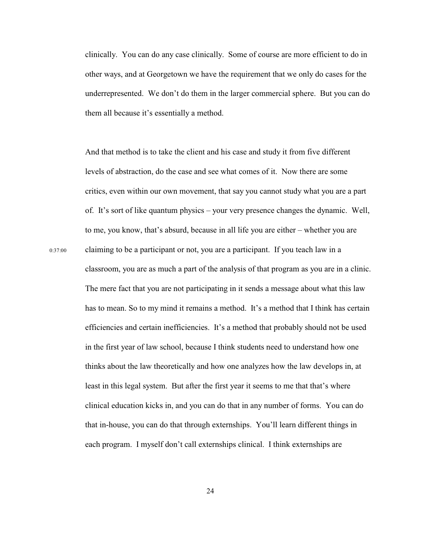clinically. You can do any case clinically. Some of course are more efficient to do in other ways, and at Georgetown we have the requirement that we only do cases for the underrepresented. We don't do them in the larger commercial sphere. But you can do them all because it's essentially a method.

And that method is to take the client and his case and study it from five different levels of abstraction, do the case and see what comes of it. Now there are some critics, even within our own movement, that say you cannot study what you are a part of. It's sort of like quantum physics – your very presence changes the dynamic. Well, to me, you know, that's absurd, because in all life you are either – whether you are 0:37:00 claiming to be a participant or not, you are a participant. If you teach law in a classroom, you are as much a part of the analysis of that program as you are in a clinic. The mere fact that you are not participating in it sends a message about what this law has to mean. So to my mind it remains a method. It's a method that I think has certain efficiencies and certain inefficiencies. It's a method that probably should not be used in the first year of law school, because I think students need to understand how one thinks about the law theoretically and how one analyzes how the law develops in, at least in this legal system. But after the first year it seems to me that that's where clinical education kicks in, and you can do that in any number of forms. You can do that in-house, you can do that through externships. You'll learn different things in each program. I myself don't call externships clinical. I think externships are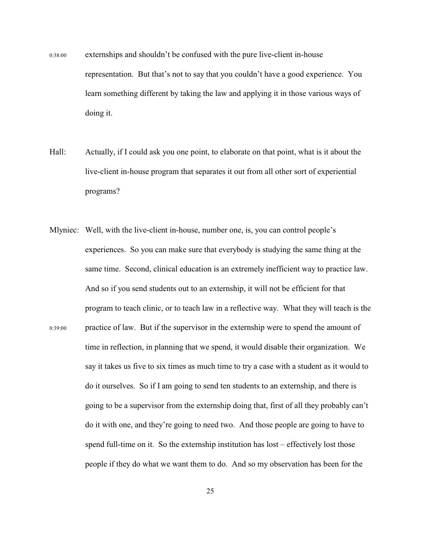- 0:38:00 externships and shouldn't be confused with the pure live-client in-house representation. But that's not to say that you couldn't have a good experience. You learn something different by taking the law and applying it in those various ways of doing it.
- Hall: Actually, if I could ask you one point, to elaborate on that point, what is it about the live-client in-house program that separates it out from all other sort of experiential programs?
- Mlyniec: Well, with the live-client in-house, number one, is, you can control people's experiences. So you can make sure that everybody is studying the same thing at the same time. Second, clinical education is an extremely inefficient way to practice law. And so if you send students out to an externship, it will not be efficient for that program to teach clinic, or to teach law in a reflective way. What they will teach is the 0:39:00 practice of law. But if the supervisor in the externship were to spend the amount of time in reflection, in planning that we spend, it would disable their organization. We say it takes us five to six times as much time to try a case with a student as it would to do it ourselves. So if I am going to send ten students to an externship, and there is going to be a supervisor from the externship doing that, first of all they probably can't do it with one, and they're going to need two. And those people are going to have to spend full-time on it. So the externship institution has lost – effectively lost those people if they do what we want them to do. And so my observation has been for the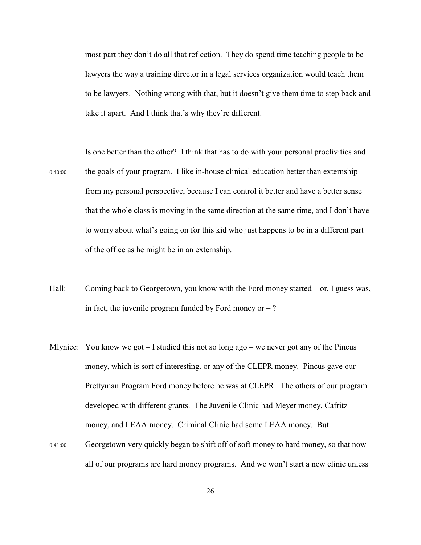most part they don't do all that reflection. They do spend time teaching people to be lawyers the way a training director in a legal services organization would teach them to be lawyers. Nothing wrong with that, but it doesn't give them time to step back and take it apart. And I think that's why they're different.

Is one better than the other? I think that has to do with your personal proclivities and 0:40:00 the goals of your program. I like in-house clinical education better than externship from my personal perspective, because I can control it better and have a better sense that the whole class is moving in the same direction at the same time, and I don't have to worry about what's going on for this kid who just happens to be in a different part of the office as he might be in an externship.

- Hall: Coming back to Georgetown, you know with the Ford money started or, I guess was, in fact, the juvenile program funded by Ford money or  $-$  ?
- Mlyniec: You know we got  $-1$  studied this not so long ago we never got any of the Pincus money, which is sort of interesting. or any of the CLEPR money. Pincus gave our Prettyman Program Ford money before he was at CLEPR. The others of our program developed with different grants. The Juvenile Clinic had Meyer money, Cafritz money, and LEAA money. Criminal Clinic had some LEAA money. But 0:41:00 Georgetown very quickly began to shift off of soft money to hard money, so that now
	- all of our programs are hard money programs. And we won't start a new clinic unless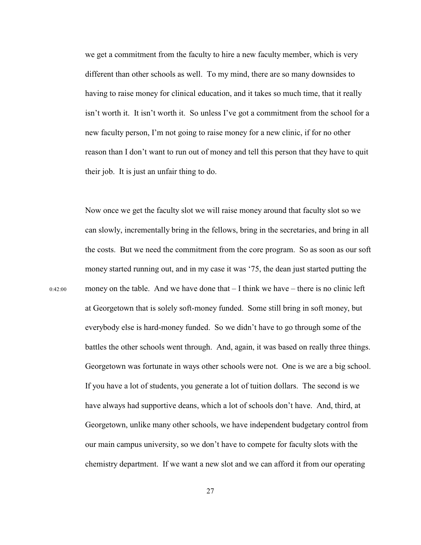we get a commitment from the faculty to hire a new faculty member, which is very different than other schools as well. To my mind, there are so many downsides to having to raise money for clinical education, and it takes so much time, that it really isn't worth it. It isn't worth it. So unless I've got a commitment from the school for a new faculty person, I'm not going to raise money for a new clinic, if for no other reason than I don't want to run out of money and tell this person that they have to quit their job. It is just an unfair thing to do.

Now once we get the faculty slot we will raise money around that faculty slot so we can slowly, incrementally bring in the fellows, bring in the secretaries, and bring in all the costs. But we need the commitment from the core program. So as soon as our soft money started running out, and in my case it was '75, the dean just started putting the  $0.42:00$  money on the table. And we have done that  $-1$  think we have – there is no clinic left at Georgetown that is solely soft-money funded. Some still bring in soft money, but everybody else is hard-money funded. So we didn't have to go through some of the battles the other schools went through. And, again, it was based on really three things. Georgetown was fortunate in ways other schools were not. One is we are a big school. If you have a lot of students, you generate a lot of tuition dollars. The second is we have always had supportive deans, which a lot of schools don't have. And, third, at Georgetown, unlike many other schools, we have independent budgetary control from our main campus university, so we don't have to compete for faculty slots with the chemistry department. If we want a new slot and we can afford it from our operating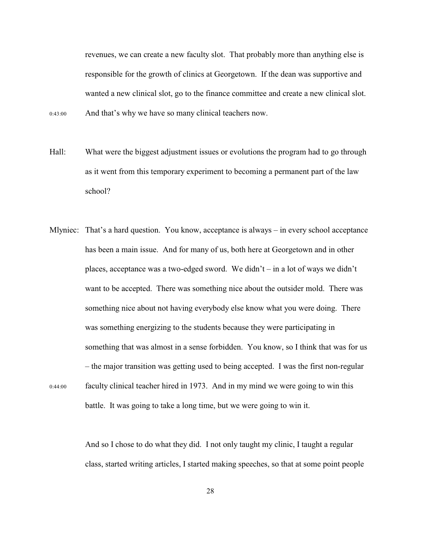revenues, we can create a new faculty slot. That probably more than anything else is responsible for the growth of clinics at Georgetown. If the dean was supportive and wanted a new clinical slot, go to the finance committee and create a new clinical slot. 0:43:00 And that's why we have so many clinical teachers now.

- Hall: What were the biggest adjustment issues or evolutions the program had to go through as it went from this temporary experiment to becoming a permanent part of the law school?
- Mlyniec: That's a hard question. You know, acceptance is always in every school acceptance has been a main issue. And for many of us, both here at Georgetown and in other places, acceptance was a two-edged sword. We didn't – in a lot of ways we didn't want to be accepted. There was something nice about the outsider mold. There was something nice about not having everybody else know what you were doing. There was something energizing to the students because they were participating in something that was almost in a sense forbidden. You know, so I think that was for us – the major transition was getting used to being accepted. I was the first non-regular 0:44:00 faculty clinical teacher hired in 1973. And in my mind we were going to win this battle. It was going to take a long time, but we were going to win it.

And so I chose to do what they did. I not only taught my clinic, I taught a regular class, started writing articles, I started making speeches, so that at some point people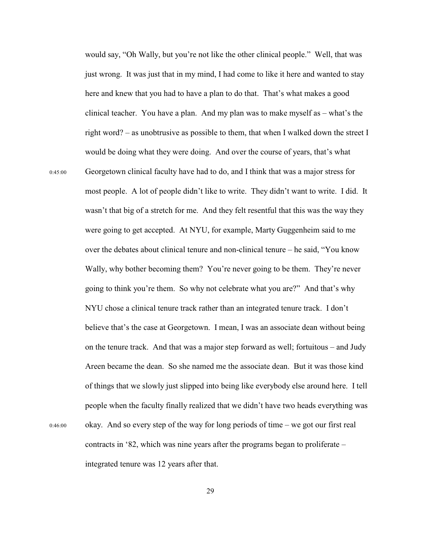would say, "Oh Wally, but you're not like the other clinical people." Well, that was just wrong. It was just that in my mind, I had come to like it here and wanted to stay here and knew that you had to have a plan to do that. That's what makes a good clinical teacher. You have a plan. And my plan was to make myself as – what's the right word? – as unobtrusive as possible to them, that when I walked down the street I would be doing what they were doing. And over the course of years, that's what 0:45:00 Georgetown clinical faculty have had to do, and I think that was a major stress for most people. A lot of people didn't like to write. They didn't want to write. I did. It wasn't that big of a stretch for me. And they felt resentful that this was the way they were going to get accepted. At NYU, for example, Marty Guggenheim said to me over the debates about clinical tenure and non-clinical tenure – he said, "You know Wally, why bother becoming them? You're never going to be them. They're never going to think you're them. So why not celebrate what you are?" And that's why NYU chose a clinical tenure track rather than an integrated tenure track. I don't believe that's the case at Georgetown. I mean, I was an associate dean without being on the tenure track. And that was a major step forward as well; fortuitous – and Judy Areen became the dean. So she named me the associate dean. But it was those kind of things that we slowly just slipped into being like everybody else around here. I tell people when the faculty finally realized that we didn't have two heads everything was 0:46:00 okay. And so every step of the way for long periods of time – we got our first real contracts in '82, which was nine years after the programs began to proliferate – integrated tenure was 12 years after that.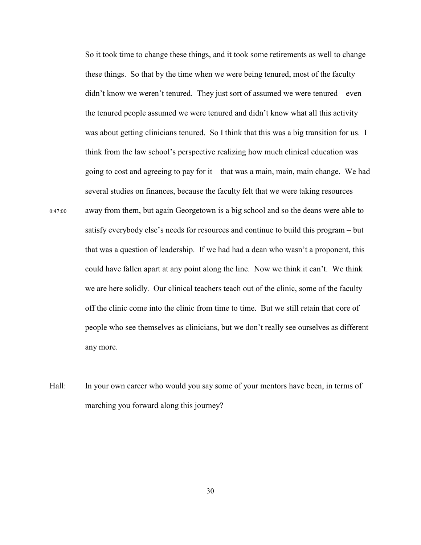So it took time to change these things, and it took some retirements as well to change these things. So that by the time when we were being tenured, most of the faculty didn't know we weren't tenured. They just sort of assumed we were tenured – even the tenured people assumed we were tenured and didn't know what all this activity was about getting clinicians tenured. So I think that this was a big transition for us. I think from the law school's perspective realizing how much clinical education was going to cost and agreeing to pay for it – that was a main, main, main change. We had several studies on finances, because the faculty felt that we were taking resources 0:47:00 away from them, but again Georgetown is a big school and so the deans were able to satisfy everybody else's needs for resources and continue to build this program – but that was a question of leadership. If we had had a dean who wasn't a proponent, this could have fallen apart at any point along the line. Now we think it can't. We think we are here solidly. Our clinical teachers teach out of the clinic, some of the faculty off the clinic come into the clinic from time to time. But we still retain that core of people who see themselves as clinicians, but we don't really see ourselves as different any more.

Hall: In your own career who would you say some of your mentors have been, in terms of marching you forward along this journey?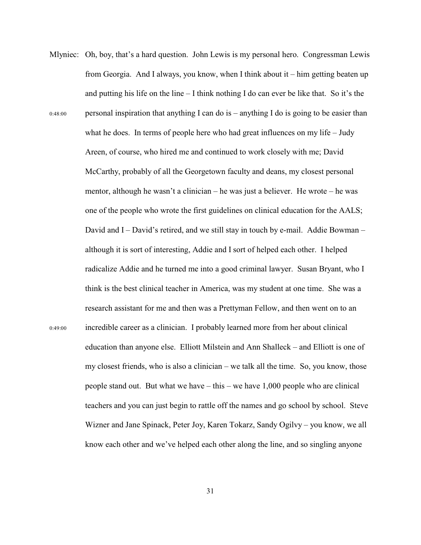Mlyniec: Oh, boy, that's a hard question. John Lewis is my personal hero. Congressman Lewis from Georgia. And I always, you know, when I think about it – him getting beaten up and putting his life on the line – I think nothing I do can ever be like that. So it's the 0:48:00 personal inspiration that anything I can do is – anything I do is going to be easier than what he does. In terms of people here who had great influences on my life – Judy Areen, of course, who hired me and continued to work closely with me; David McCarthy, probably of all the Georgetown faculty and deans, my closest personal mentor, although he wasn't a clinician – he was just a believer. He wrote – he was one of the people who wrote the first guidelines on clinical education for the AALS; David and I – David's retired, and we still stay in touch by e-mail. Addie Bowman – although it is sort of interesting, Addie and I sort of helped each other. I helped radicalize Addie and he turned me into a good criminal lawyer. Susan Bryant, who I think is the best clinical teacher in America, was my student at one time. She was a research assistant for me and then was a Prettyman Fellow, and then went on to an 0:49:00 incredible career as a clinician. I probably learned more from her about clinical education than anyone else. Elliott Milstein and Ann Shalleck – and Elliott is one of my closest friends, who is also a clinician – we talk all the time. So, you know, those people stand out. But what we have – this – we have 1,000 people who are clinical teachers and you can just begin to rattle off the names and go school by school. Steve Wizner and Jane Spinack, Peter Joy, Karen Tokarz, Sandy Ogilvy – you know, we all know each other and we've helped each other along the line, and so singling anyone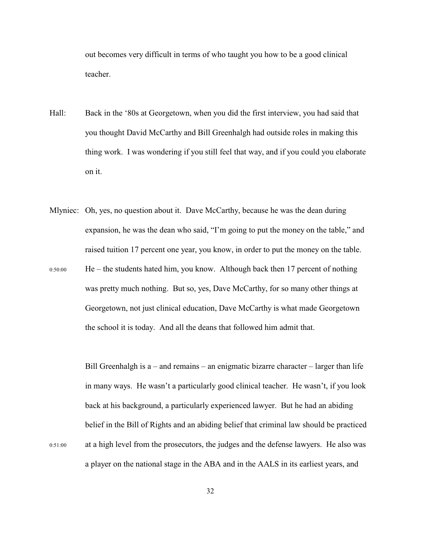out becomes very difficult in terms of who taught you how to be a good clinical teacher.

- Hall: Back in the '80s at Georgetown, when you did the first interview, you had said that you thought David McCarthy and Bill Greenhalgh had outside roles in making this thing work. I was wondering if you still feel that way, and if you could you elaborate on it.
- Mlyniec: Oh, yes, no question about it. Dave McCarthy, because he was the dean during expansion, he was the dean who said, "I'm going to put the money on the table," and raised tuition 17 percent one year, you know, in order to put the money on the table.  $0:50:00$  He – the students hated him, you know. Although back then 17 percent of nothing was pretty much nothing. But so, yes, Dave McCarthy, for so many other things at Georgetown, not just clinical education, Dave McCarthy is what made Georgetown the school it is today. And all the deans that followed him admit that.

Bill Greenhalgh is  $a$  – and remains – an enigmatic bizarre character – larger than life in many ways. He wasn't a particularly good clinical teacher. He wasn't, if you look back at his background, a particularly experienced lawyer. But he had an abiding belief in the Bill of Rights and an abiding belief that criminal law should be practiced 0:51:00 at a high level from the prosecutors, the judges and the defense lawyers. He also was a player on the national stage in the ABA and in the AALS in its earliest years, and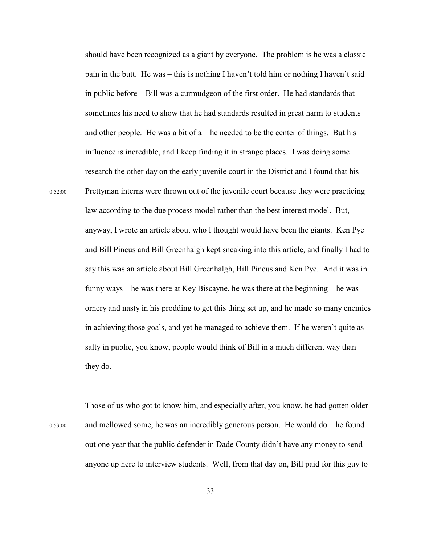should have been recognized as a giant by everyone. The problem is he was a classic pain in the butt. He was – this is nothing I haven't told him or nothing I haven't said in public before – Bill was a curmudgeon of the first order. He had standards that – sometimes his need to show that he had standards resulted in great harm to students and other people. He was a bit of  $a - he$  needed to be the center of things. But his influence is incredible, and I keep finding it in strange places. I was doing some research the other day on the early juvenile court in the District and I found that his 0:52:00 Prettyman interns were thrown out of the juvenile court because they were practicing law according to the due process model rather than the best interest model. But, anyway, I wrote an article about who I thought would have been the giants. Ken Pye and Bill Pincus and Bill Greenhalgh kept sneaking into this article, and finally I had to say this was an article about Bill Greenhalgh, Bill Pincus and Ken Pye. And it was in funny ways – he was there at Key Biscayne, he was there at the beginning – he was ornery and nasty in his prodding to get this thing set up, and he made so many enemies in achieving those goals, and yet he managed to achieve them. If he weren't quite as salty in public, you know, people would think of Bill in a much different way than they do.

Those of us who got to know him, and especially after, you know, he had gotten older 0:53:00 and mellowed some, he was an incredibly generous person. He would do – he found out one year that the public defender in Dade County didn't have any money to send anyone up here to interview students. Well, from that day on, Bill paid for this guy to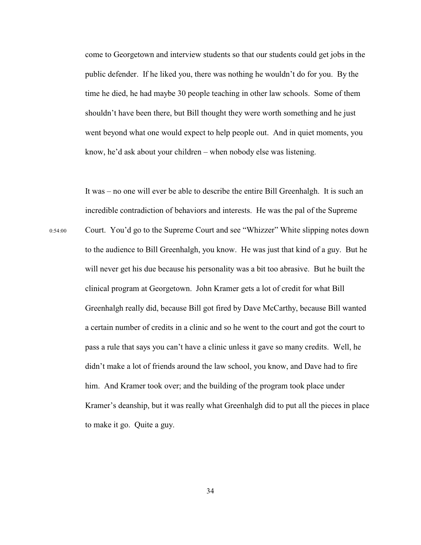come to Georgetown and interview students so that our students could get jobs in the public defender. If he liked you, there was nothing he wouldn't do for you. By the time he died, he had maybe 30 people teaching in other law schools. Some of them shouldn't have been there, but Bill thought they were worth something and he just went beyond what one would expect to help people out. And in quiet moments, you know, he'd ask about your children – when nobody else was listening.

It was – no one will ever be able to describe the entire Bill Greenhalgh. It is such an incredible contradiction of behaviors and interests. He was the pal of the Supreme 0:54:00 Court. You'd go to the Supreme Court and see "Whizzer" White slipping notes down to the audience to Bill Greenhalgh, you know. He was just that kind of a guy. But he will never get his due because his personality was a bit too abrasive. But he built the clinical program at Georgetown. John Kramer gets a lot of credit for what Bill Greenhalgh really did, because Bill got fired by Dave McCarthy, because Bill wanted a certain number of credits in a clinic and so he went to the court and got the court to pass a rule that says you can't have a clinic unless it gave so many credits. Well, he didn't make a lot of friends around the law school, you know, and Dave had to fire him. And Kramer took over; and the building of the program took place under Kramer's deanship, but it was really what Greenhalgh did to put all the pieces in place to make it go. Quite a guy.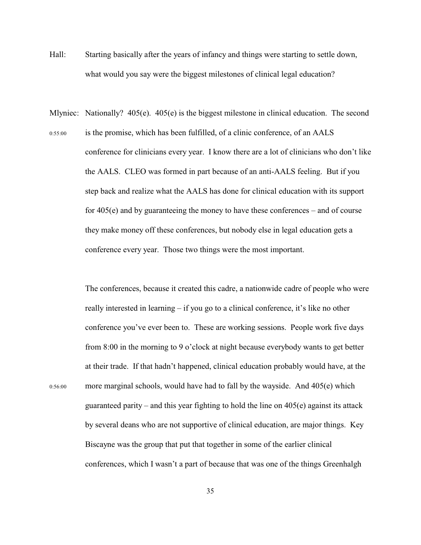- Hall: Starting basically after the years of infancy and things were starting to settle down, what would you say were the biggest milestones of clinical legal education?
- Mlyniec: Nationally? 405(e). 405(e) is the biggest milestone in clinical education. The second 0:55:00 is the promise, which has been fulfilled, of a clinic conference, of an AALS conference for clinicians every year. I know there are a lot of clinicians who don't like the AALS. CLEO was formed in part because of an anti-AALS feeling. But if you step back and realize what the AALS has done for clinical education with its support for 405(e) and by guaranteeing the money to have these conferences – and of course they make money off these conferences, but nobody else in legal education gets a conference every year. Those two things were the most important.

The conferences, because it created this cadre, a nationwide cadre of people who were really interested in learning – if you go to a clinical conference, it's like no other conference you've ever been to. These are working sessions. People work five days from 8:00 in the morning to 9 o'clock at night because everybody wants to get better at their trade. If that hadn't happened, clinical education probably would have, at the 0:56:00 more marginal schools, would have had to fall by the wayside. And 405(e) which guaranteed parity – and this year fighting to hold the line on  $405(e)$  against its attack by several deans who are not supportive of clinical education, are major things. Key Biscayne was the group that put that together in some of the earlier clinical conferences, which I wasn't a part of because that was one of the things Greenhalgh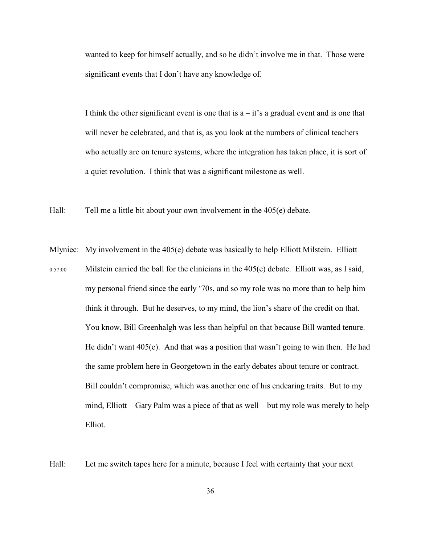wanted to keep for himself actually, and so he didn't involve me in that. Those were significant events that I don't have any knowledge of.

I think the other significant event is one that is  $a - it$ 's a gradual event and is one that will never be celebrated, and that is, as you look at the numbers of clinical teachers who actually are on tenure systems, where the integration has taken place, it is sort of a quiet revolution. I think that was a significant milestone as well.

Hall: Tell me a little bit about your own involvement in the 405(e) debate.

Mlyniec: My involvement in the 405(e) debate was basically to help Elliott Milstein. Elliott  $0:57:00$  Milstein carried the ball for the clinicians in the  $405(e)$  debate. Elliott was, as I said, my personal friend since the early '70s, and so my role was no more than to help him think it through. But he deserves, to my mind, the lion's share of the credit on that. You know, Bill Greenhalgh was less than helpful on that because Bill wanted tenure. He didn't want  $405(e)$ . And that was a position that wasn't going to win then. He had the same problem here in Georgetown in the early debates about tenure or contract. Bill couldn't compromise, which was another one of his endearing traits. But to my mind, Elliott – Gary Palm was a piece of that as well – but my role was merely to help Elliot.

Hall: Let me switch tapes here for a minute, because I feel with certainty that your next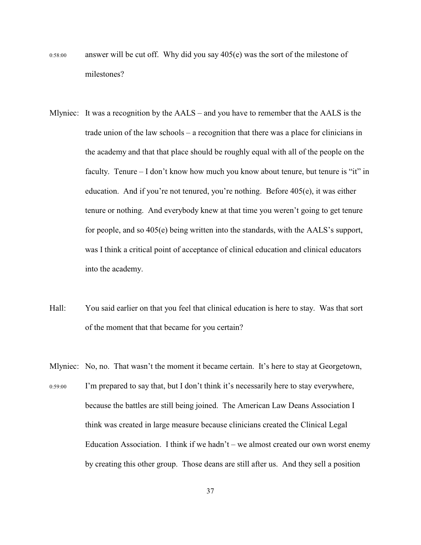- 0:58:00 answer will be cut off. Why did you say 405(e) was the sort of the milestone of milestones?
- Mlyniec: It was a recognition by the AALS and you have to remember that the AALS is the trade union of the law schools – a recognition that there was a place for clinicians in the academy and that that place should be roughly equal with all of the people on the faculty. Tenure – I don't know how much you know about tenure, but tenure is "it" in education. And if you're not tenured, you're nothing. Before  $405(e)$ , it was either tenure or nothing. And everybody knew at that time you weren't going to get tenure for people, and so 405(e) being written into the standards, with the AALS's support, was I think a critical point of acceptance of clinical education and clinical educators into the academy.
- Hall: You said earlier on that you feel that clinical education is here to stay. Was that sort of the moment that that became for you certain?
- Mlyniec: No, no. That wasn't the moment it became certain. It's here to stay at Georgetown, 0:59:00 I'm prepared to say that, but I don't think it's necessarily here to stay everywhere, because the battles are still being joined. The American Law Deans Association I think was created in large measure because clinicians created the Clinical Legal Education Association. I think if we hadn't – we almost created our own worst enemy by creating this other group. Those deans are still after us. And they sell a position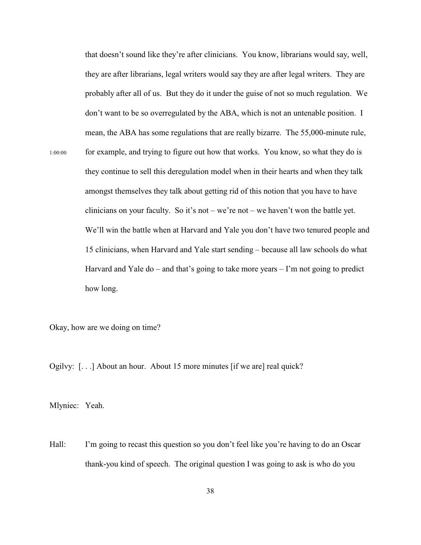that doesn't sound like they're after clinicians. You know, librarians would say, well, they are after librarians, legal writers would say they are after legal writers. They are probably after all of us. But they do it under the guise of not so much regulation. We don't want to be so overregulated by the ABA, which is not an untenable position. I mean, the ABA has some regulations that are really bizarre. The 55,000-minute rule, 1:00:00 for example, and trying to figure out how that works. You know, so what they do is they continue to sell this deregulation model when in their hearts and when they talk amongst themselves they talk about getting rid of this notion that you have to have clinicians on your faculty. So it's not – we're not – we haven't won the battle yet. We'll win the battle when at Harvard and Yale you don't have two tenured people and 15 clinicians, when Harvard and Yale start sending – because all law schools do what Harvard and Yale do – and that's going to take more years  $-1$ 'm not going to predict how long.

Okay, how are we doing on time?

Ogilvy: [. . .] About an hour. About 15 more minutes [if we are] real quick?

Mlyniec: Yeah.

Hall: I'm going to recast this question so you don't feel like you're having to do an Oscar thank-you kind of speech. The original question I was going to ask is who do you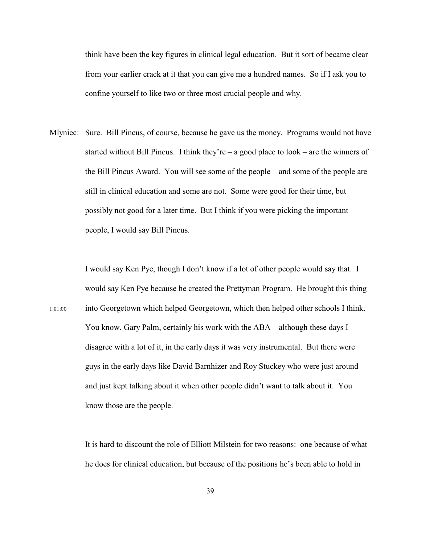think have been the key figures in clinical legal education. But it sort of became clear from your earlier crack at it that you can give me a hundred names. So if I ask you to confine yourself to like two or three most crucial people and why.

Mlyniec: Sure. Bill Pincus, of course, because he gave us the money. Programs would not have started without Bill Pincus. I think they're – a good place to  $look - are$  the winners of the Bill Pincus Award. You will see some of the people – and some of the people are still in clinical education and some are not. Some were good for their time, but possibly not good for a later time. But I think if you were picking the important people, I would say Bill Pincus.

I would say Ken Pye, though I don't know if a lot of other people would say that. I would say Ken Pye because he created the Prettyman Program. He brought this thing 1:01:00 into Georgetown which helped Georgetown, which then helped other schools I think. You know, Gary Palm, certainly his work with the ABA – although these days I disagree with a lot of it, in the early days it was very instrumental. But there were guys in the early days like David Barnhizer and Roy Stuckey who were just around and just kept talking about it when other people didn't want to talk about it. You know those are the people.

> It is hard to discount the role of Elliott Milstein for two reasons: one because of what he does for clinical education, but because of the positions he's been able to hold in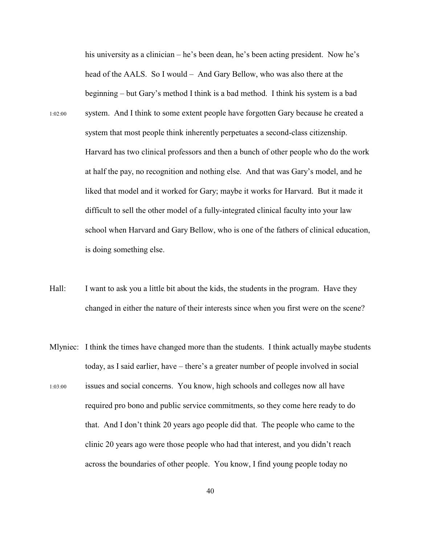his university as a clinician – he's been dean, he's been acting president. Now he's head of the AALS. So I would – And Gary Bellow, who was also there at the beginning – but Gary's method I think is a bad method. I think his system is a bad 1:02:00 system. And I think to some extent people have forgotten Gary because he created a system that most people think inherently perpetuates a second-class citizenship. Harvard has two clinical professors and then a bunch of other people who do the work at half the pay, no recognition and nothing else. And that was Gary's model, and he liked that model and it worked for Gary; maybe it works for Harvard. But it made it difficult to sell the other model of a fully-integrated clinical faculty into your law school when Harvard and Gary Bellow, who is one of the fathers of clinical education, is doing something else.

- Hall: I want to ask you a little bit about the kids, the students in the program. Have they changed in either the nature of their interests since when you first were on the scene?
- Mlyniec: I think the times have changed more than the students. I think actually maybe students today, as I said earlier, have – there's a greater number of people involved in social
- 1:03:00 issues and social concerns. You know, high schools and colleges now all have required pro bono and public service commitments, so they come here ready to do that. And I don't think 20 years ago people did that. The people who came to the clinic 20 years ago were those people who had that interest, and you didn't reach across the boundaries of other people. You know, I find young people today no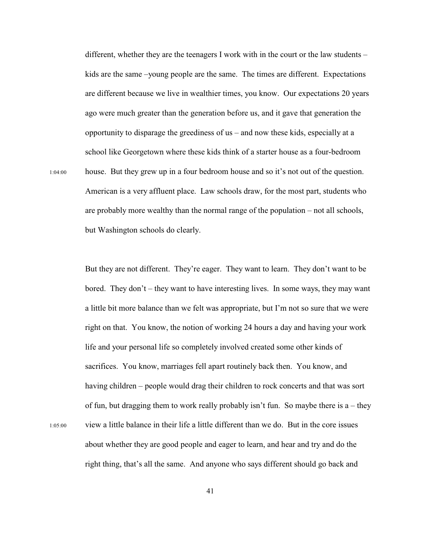different, whether they are the teenagers I work with in the court or the law students – kids are the same –young people are the same. The times are different. Expectations are different because we live in wealthier times, you know. Our expectations 20 years ago were much greater than the generation before us, and it gave that generation the opportunity to disparage the greediness of us – and now these kids, especially at a school like Georgetown where these kids think of a starter house as a four-bedroom 1:04:00 house. But they grew up in a four bedroom house and so it's not out of the question. American is a very affluent place. Law schools draw, for the most part, students who are probably more wealthy than the normal range of the population – not all schools, but Washington schools do clearly.

But they are not different. They're eager. They want to learn. They don't want to be bored. They don't – they want to have interesting lives. In some ways, they may want a little bit more balance than we felt was appropriate, but I'm not so sure that we were right on that. You know, the notion of working 24 hours a day and having your work life and your personal life so completely involved created some other kinds of sacrifices. You know, marriages fell apart routinely back then. You know, and having children – people would drag their children to rock concerts and that was sort of fun, but dragging them to work really probably isn't fun. So maybe there is  $a$  – they 1:05:00 view a little balance in their life a little different than we do. But in the core issues about whether they are good people and eager to learn, and hear and try and do the right thing, that's all the same. And anyone who says different should go back and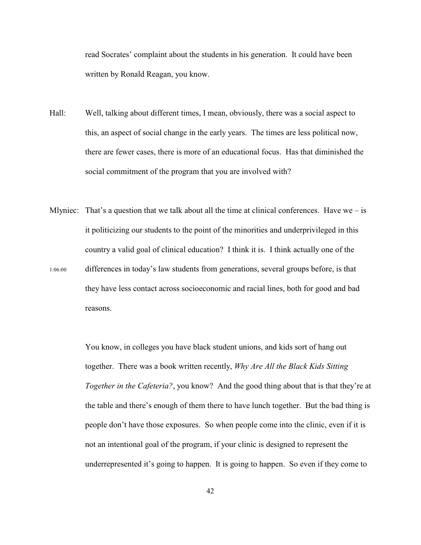read Socrates' complaint about the students in his generation. It could have been written by Ronald Reagan, you know.

- Hall: Well, talking about different times, I mean, obviously, there was a social aspect to this, an aspect of social change in the early years. The times are less political now, there are fewer cases, there is more of an educational focus. Has that diminished the social commitment of the program that you are involved with?
- Mlyniec: That's a question that we talk about all the time at clinical conferences. Have we is it politicizing our students to the point of the minorities and underprivileged in this country a valid goal of clinical education? I think it is. I think actually one of the 1:06:00 differences in today's law students from generations, several groups before, is that they have less contact across socioeconomic and racial lines, both for good and bad reasons.

You know, in colleges you have black student unions, and kids sort of hang out together. There was a book written recently, *Why Are All the Black Kids Sitting Together in the Cafeteria?*, you know? And the good thing about that is that they're at the table and there's enough of them there to have lunch together. But the bad thing is people don't have those exposures. So when people come into the clinic, even if it is not an intentional goal of the program, if your clinic is designed to represent the underrepresented it's going to happen. It is going to happen. So even if they come to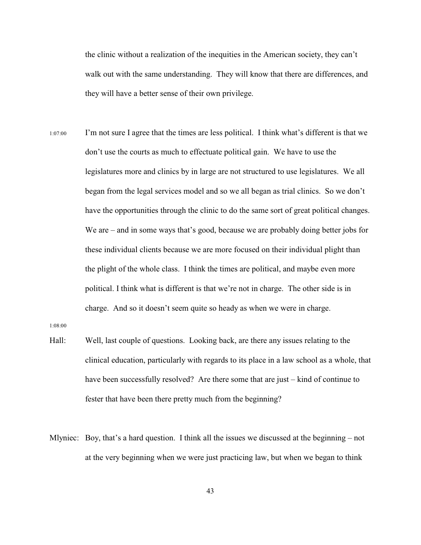the clinic without a realization of the inequities in the American society, they can't walk out with the same understanding. They will know that there are differences, and they will have a better sense of their own privilege.

1:07:00 I'm not sure I agree that the times are less political. I think what's different is that we don't use the courts as much to effectuate political gain. We have to use the legislatures more and clinics by in large are not structured to use legislatures. We all began from the legal services model and so we all began as trial clinics. So we don't have the opportunities through the clinic to do the same sort of great political changes. We are – and in some ways that's good, because we are probably doing better jobs for these individual clients because we are more focused on their individual plight than the plight of the whole class. I think the times are political, and maybe even more political. I think what is different is that we're not in charge. The other side is in charge. And so it doesn't seem quite so heady as when we were in charge.

1:08:00

- Hall: Well, last couple of questions. Looking back, are there any issues relating to the clinical education, particularly with regards to its place in a law school as a whole, that have been successfully resolved? Are there some that are just – kind of continue to fester that have been there pretty much from the beginning?
- Mlyniec: Boy, that's a hard question. I think all the issues we discussed at the beginning not at the very beginning when we were just practicing law, but when we began to think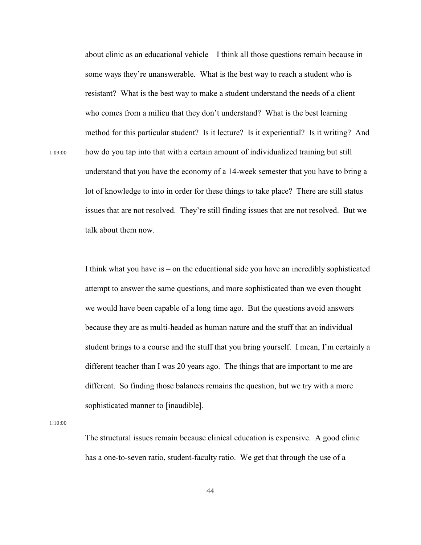about clinic as an educational vehicle – I think all those questions remain because in some ways they're unanswerable. What is the best way to reach a student who is resistant? What is the best way to make a student understand the needs of a client who comes from a milieu that they don't understand? What is the best learning method for this particular student? Is it lecture? Is it experiential? Is it writing? And 1:09:00 how do you tap into that with a certain amount of individualized training but still understand that you have the economy of a 14-week semester that you have to bring a lot of knowledge to into in order for these things to take place? There are still status issues that are not resolved. They're still finding issues that are not resolved. But we talk about them now.

> I think what you have is – on the educational side you have an incredibly sophisticated attempt to answer the same questions, and more sophisticated than we even thought we would have been capable of a long time ago. But the questions avoid answers because they are as multi-headed as human nature and the stuff that an individual student brings to a course and the stuff that you bring yourself. I mean, I'm certainly a different teacher than I was 20 years ago. The things that are important to me are different. So finding those balances remains the question, but we try with a more sophisticated manner to [inaudible].

1:10:00

The structural issues remain because clinical education is expensive. A good clinic has a one-to-seven ratio, student-faculty ratio. We get that through the use of a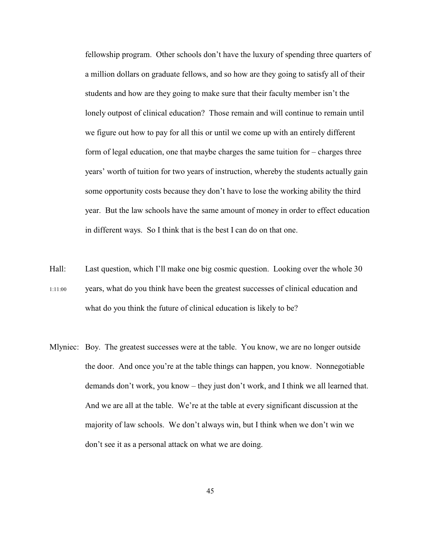fellowship program. Other schools don't have the luxury of spending three quarters of a million dollars on graduate fellows, and so how are they going to satisfy all of their students and how are they going to make sure that their faculty member isn't the lonely outpost of clinical education? Those remain and will continue to remain until we figure out how to pay for all this or until we come up with an entirely different form of legal education, one that maybe charges the same tuition for – charges three years' worth of tuition for two years of instruction, whereby the students actually gain some opportunity costs because they don't have to lose the working ability the third year. But the law schools have the same amount of money in order to effect education in different ways. So I think that is the best I can do on that one.

- Hall: Last question, which I'll make one big cosmic question. Looking over the whole 30 1:11:00 years, what do you think have been the greatest successes of clinical education and what do you think the future of clinical education is likely to be?
- Mlyniec: Boy. The greatest successes were at the table. You know, we are no longer outside the door. And once you're at the table things can happen, you know. Nonnegotiable demands don't work, you know – they just don't work, and I think we all learned that. And we are all at the table. We're at the table at every significant discussion at the majority of law schools. We don't always win, but I think when we don't win we don't see it as a personal attack on what we are doing.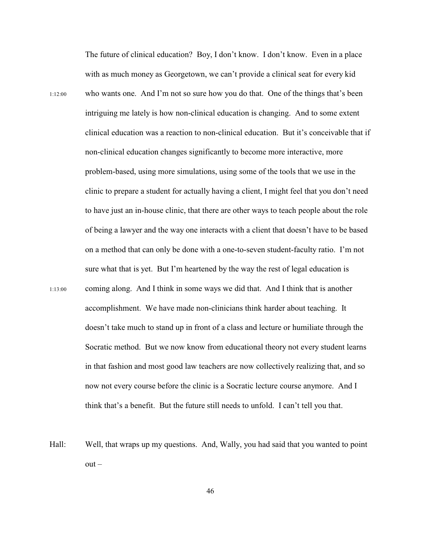The future of clinical education? Boy, I don't know. I don't know. Even in a place with as much money as Georgetown, we can't provide a clinical seat for every kid 1:12:00 who wants one. And I'm not so sure how you do that. One of the things that's been intriguing me lately is how non-clinical education is changing. And to some extent clinical education was a reaction to non-clinical education. But it's conceivable that if non-clinical education changes significantly to become more interactive, more problem-based, using more simulations, using some of the tools that we use in the clinic to prepare a student for actually having a client, I might feel that you don't need to have just an in-house clinic, that there are other ways to teach people about the role of being a lawyer and the way one interacts with a client that doesn't have to be based on a method that can only be done with a one-to-seven student-faculty ratio. I'm not sure what that is yet. But I'm heartened by the way the rest of legal education is 1:13:00 coming along. And I think in some ways we did that. And I think that is another accomplishment. We have made non-clinicians think harder about teaching. It doesn't take much to stand up in front of a class and lecture or humiliate through the Socratic method. But we now know from educational theory not every student learns in that fashion and most good law teachers are now collectively realizing that, and so now not every course before the clinic is a Socratic lecture course anymore. And I think that's a benefit. But the future still needs to unfold. I can't tell you that.

Hall: Well, that wraps up my questions. And, Wally, you had said that you wanted to point  $out -$